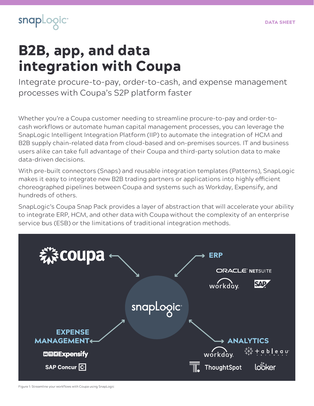

# B2B, app, and data integration with Coupa

Integrate procure-to-pay, order-to-cash, and expense management processes with Coupa's S2P platform faster

Whether you're a Coupa customer needing to streamline procure-to-pay and order-tocash workflows or automate human capital management processes, you can leverage the SnapLogic Intelligent Integration Platform (IIP) to automate the integration of HCM and B2B supply chain-related data from cloud-based and on-premises sources. IT and business users alike can take full advantage of their Coupa and third-party solution data to make data-driven decisions.

With pre-built connectors (Snaps) and reusable integration templates (Patterns), SnapLogic makes it easy to integrate new B2B trading partners or applications into highly efficient choreographed pipelines between Coupa and systems such as Workday, Expensify, and hundreds of others.

SnapLogic's Coupa Snap Pack provides a layer of abstraction that will accelerate your ability to integrate ERP, HCM, and other data with Coupa without the complexity of an enterprise service bus (ESB) or the limitations of traditional integration methods.